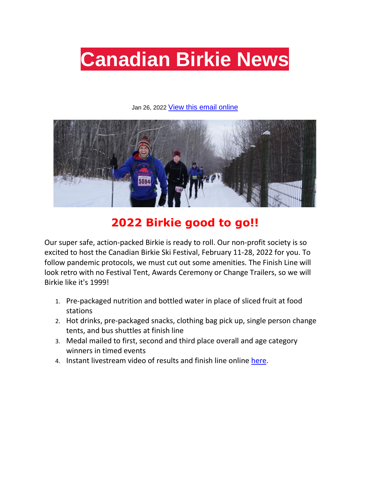

#### Jan 26, 2022 [View this email online](https://canadianbirkie.com/?nltr=MjAxOzExMTE0O2h0dHBzOi8vY2FuYWRpYW5iaXJraWUuY29tLz9uYT12Jm5rPTExMTE0LWU5YmVjMzZmYjUmaWQ9MjAxOzs4OTg5ZjJkYWMwNmRjYjAxYjg2NmRiNGYwZTIwOGNiZQ%3D%3D)



#### **2022 Birkie good to go!!**

Our super safe, action-packed Birkie is ready to roll. Our non-profit society is so excited to host the Canadian Birkie Ski Festival, February 11-28, 2022 for you. To follow pandemic protocols, we must cut out some amenities. The Finish Line will look retro with no Festival Tent, Awards Ceremony or Change Trailers, so we will Birkie like it's 1999!

- 1. Pre-packaged nutrition and bottled water in place of sliced fruit at food stations
- 2. Hot drinks, pre-packaged snacks, clothing bag pick up, single person change tents, and bus shuttles at finish line
- 3. Medal mailed to first, second and third place overall and age category winners in timed events
- 4. Instant livestream video of results and finish line online [here.](https://canadianbirkie.com/?nltr=MjAxOzExMTE0O2h0dHBzOi8vY2FuYWRpYW5iaXJraWUuY29tL3Jlc3VsdHMvOztjYjIyNWRkNWI4YzJhMjkzYzAzMDM3NWYyZjZiMzVkZg%3D%3D)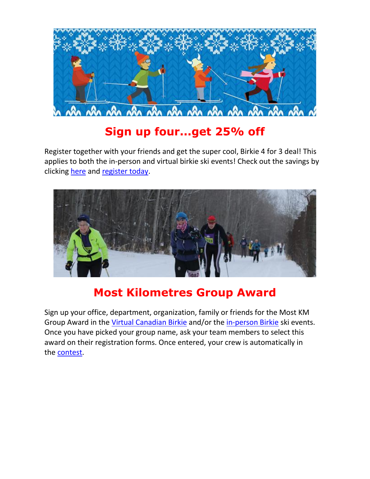

# **Sign up four...get 25% off**

Register together with your friends and get the super cool, Birkie 4 for 3 deal! This applies to both the in-person and virtual birkie ski events! Check out the savings by clicking [here](https://canadianbirkie.com/?nltr=MjAxOzExMTE0O2h0dHBzOi8vY2FuYWRpYW5iaXJraWUuY29tL2RlYWxzLzs7OWQ0ZWM5NWI3ZWUxYjM0MDlmNmJjNGE1ZDg3YTk0ZDA%3D) and [register today.](https://canadianbirkie.com/?nltr=MjAxOzExMTE0O2h0dHBzOi8vY2FuYWRpYW5iaXJraWUuY29tL3JlZ2lzdHJhdGlvbi87O2NmODhiNzcwYWExNTYyNDg0MDRhNGViMDE4MzM4MGZl)



## **Most Kilometres Group Award**

Sign up your office, department, organization, family or friends for the Most KM Group Award in the [Virtual Canadian Birkie](https://canadianbirkie.com/?nltr=MjAxOzExMTE0O2h0dHBzOi8vY2FuYWRpYW5iaXJraWUuY29tL3ZpcnR1YWwtYmlya2llLzs7NDI5Y2I5YTZiMzEzZGE0ZDBiYTAzMTZhMTQxZDdlOTM%3D) and/or the [in-person Birkie](https://canadianbirkie.com/?nltr=MjAxOzExMTE0O2h0dHBzOi8vY2FuYWRpYW5iaXJraWUuY29tL2V2ZW50cy87OzQxY2ViNmZiMDMwN2VhZGIxM2E3NTI3OGVlN2FiMzcz) ski events. Once you have picked your group name, ask your team members to select this award on their registration forms. Once entered, your crew is automatically in the [contest.](https://canadianbirkie.com/?nltr=MjAxOzExMTE0O2h0dHBzOi8vY2FuYWRpYW5iaXJraWUuY29tL21vc3Qta20tc2tpZWQtZ3JvdXAtYXdhcmQvOztkYTAxYjhiZmJiNWRmN2MwYjlmMTFmZjBkNTljODY1YQ%3D%3D)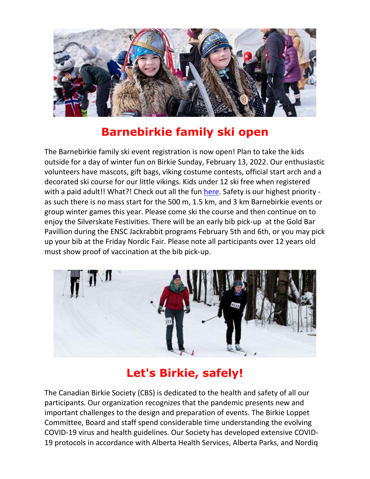

## **Barnebirkie family ski open**

The Barnebirkie family ski event registration is now open! Plan to take the kids outside for a day of winter fun on Birkie Sunday, February 13, 2022. Our enthusiastic volunteers have mascots, gift bags, viking costume contests, official start arch and a decorated ski course for our little vikings. Kids under 12 ski free when registered with a paid adult!! What?! Check out all the fun [here.](https://canadianbirkie.com/?nltr=MjAxOzExMTE0O2h0dHBzOi8vY2FuYWRpYW5iaXJraWUuY29tL2JpcmtpZS1zdW5kYXkvOzs5ODBkMjUzZWRjOGVmZTUxMjNlODY1YWMwODAzMDlkNg%3D%3D) Safety is our highest priority as such there is no mass start for the 500 m, 1.5 km, and 3 km Barnebirkie events or group winter games this year. Please come ski the course and then continue on to enjoy the Silverskate Festivities. There will be an early bib pick-up at the Gold Bar Pavillion during the ENSC Jackrabbit programs February 5th and 6th, or you may pick up your bib at the Friday Nordic Fair. Please note all participants over 12 years old must show proof of vaccination at the bib pick-up.



# **Let's Birkie, safely!**

The Canadian Birkie Society (CBS) is dedicated to the health and safety of all our participants. Our organization recognizes that the pandemic presents new and important challenges to the design and preparation of events. The Birkie Loppet Committee, Board and staff spend considerable time understanding the evolving COVID-19 virus and health guidelines. Our Society has developed extensive COVID-19 protocols in accordance with Alberta Health Services, Alberta Parks, and Nordiq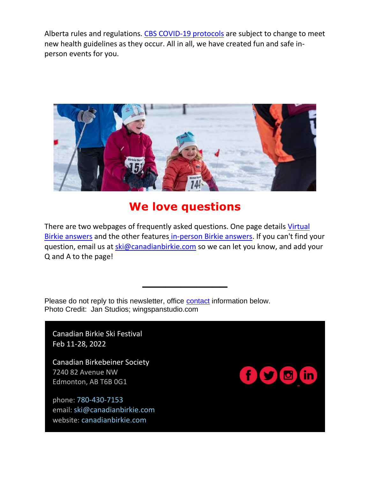Alberta rules and regulations. [CBS COVID-19 protocols](https://canadianbirkie.com/?nltr=MjAxOzExMTE0O2h0dHBzOi8vY2FuYWRpYW5iaXJraWUuY29tL2NvdmlkMTktcHJvdG9jb2xzLzs7ZmFiYTMxZjUyMzI5MzE2OWNmZjBlMjY1NTQ1MDkxMmY%3D) are subject to change to meet new health guidelines as they occur. All in all, we have created fun and safe inperson events for you.



#### **We love questions**

There are two webpages of frequently asked questions. One page details [Virtual](https://canadianbirkie.com/?nltr=MjAxOzExMTE0O2h0dHBzOi8vY2FuYWRpYW5iaXJraWUuY29tL3ZpcnR1YWwtYmlya2llLXF1ZXN0aW9ucy1hbmQtYW5zd2Vycy87OzQ1YWYzNWMzN2Y2M2JiYTBiZTc3ODkyZmIyMzYyODgz)  [Birkie answers](https://canadianbirkie.com/?nltr=MjAxOzExMTE0O2h0dHBzOi8vY2FuYWRpYW5iaXJraWUuY29tL3ZpcnR1YWwtYmlya2llLXF1ZXN0aW9ucy1hbmQtYW5zd2Vycy87OzQ1YWYzNWMzN2Y2M2JiYTBiZTc3ODkyZmIyMzYyODgz) and the other features [in-person Birkie answers.](https://canadianbirkie.com/?nltr=MjAxOzExMTE0O2h0dHBzOi8vY2FuYWRpYW5iaXJraWUuY29tL2ZyZXF1ZW50bHktYXNrZWQtcXVlc3Rpb25zLzs7MGYzNzRhZDBmZTBlNGE3ODBmMmI3MjdmYTI4ZGFkYzE%3D) If you can't find your question, email us at [ski@canadianbirkie.com](mailto:ski@canadianbirkie.com) so we can let you know, and add your Q and A to the page!

**\_\_\_\_\_\_\_\_\_\_\_**

Please do not reply to this newsletter, office [contact](https://canadianbirkie.com/?nltr=MjAxOzExMTE0O2h0dHBzOi8vY2FuYWRpYW5iaXJraWUuY29tL2NvbnRhY3QtdXMvOztlMTU2ZmFmZDcwNGVhNmYzZDUzNjdmMDExYTIwYTZiZg%3D%3D) information below. Photo Credit: Jan Studios; wingspanstudio.com

Canadian Birkie Ski Festival Feb 11-28, 2022

Canadian Birkebeiner Society 7240 82 Avenue NW Edmonton, AB T6B 0G1

phone: [780-430-7153](https://canadianbirkie.com/?nltr=MjAxOzExMTE0O3RlbDo3ODA0MzA3MTUzOzs0ODZiODQ0MThiNTA5NDQyOGRhYmFmYTU4ZTRmZjE4NQ%3D%3D) email: [ski@canadianbirkie.com](https://canadianbirkie.com/?nltr=MjAxOzExMTE0O21haWw6c2tpQGNhbmFkaWFuYmlya2llLmNvbTs7NzFjMjliODI1OGQxYWQ2M2U5MjdiZjRjNjE0NDYzODg%3D) website: [canadianbirkie.com](https://canadianbirkie.com/?nltr=MjAxOzExMTE0O2h0dHBzOi8vY2FuYWRpYW5iaXJraWUuY29tLzs7MGRkMTVhYmZlYTdlNTAwM2QyMzg0OGY2NjUwMWNiYTI%3D)